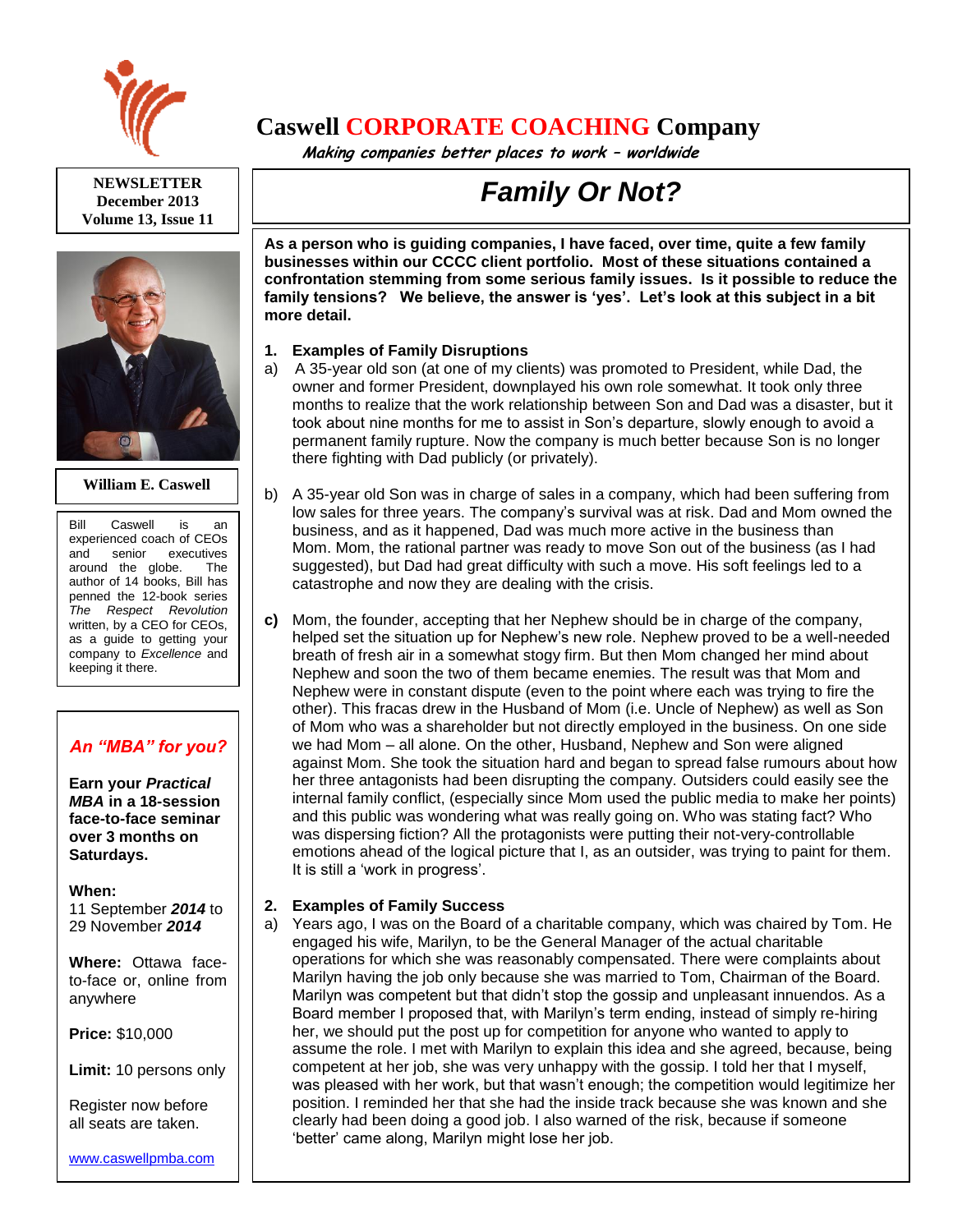

# **Caswell CORPORATE COACHING Company**

 **Making companies better places to work – worldwide**

**NEWSLETTER December 2013 Volume 13, Issue 11**



#### **William E. Caswell**

Bill Caswell is an experienced coach of CEOs and senior executives<br>around the globe The around the globe. author of 14 books, Bill has penned the 12-book series *The Respect Revolution* written, by a CEO for CEOs, as a guide to getting your company to *Excellence* and keeping it there.

## *An "MBA" for you?*

**Earn your** *Practical MBA* **in a 18-session face-to-face seminar over 3 months on Saturdays.**

#### **When:**

11 September *2014* to 29 November *2014*

**Where:** Ottawa faceto-face or, online from anywhere

**Price:** \$10,000

**Limit:** 10 persons only

Register now before all seats are taken.

[www.caswellpmba.com](http://www.caswellpmba.com/)

# *Family Or Not?*

**As a person who is guiding companies, I have faced, over time, quite a few family businesses within our CCCC client portfolio. Most of these situations contained a confrontation stemming from some serious family issues. Is it possible to reduce the family tensions? We believe, the answer is 'yes'. Let's look at this subject in a bit more detail.**

#### **1. Examples of Family Disruptions**

- a) A 35-year old son (at one of my clients) was promoted to President, while Dad, the owner and former President, downplayed his own role somewhat. It took only three months to realize that the work relationship between Son and Dad was a disaster, but it took about nine months for me to assist in Son's departure, slowly enough to avoid a permanent family rupture. Now the company is much better because Son is no longer there fighting with Dad publicly (or privately).
- b) A 35-year old Son was in charge of sales in a company, which had been suffering from low sales for three years. The company's survival was at risk. Dad and Mom owned the business, and as it happened, Dad was much more active in the business than Mom. Mom, the rational partner was ready to move Son out of the business (as I had suggested), but Dad had great difficulty with such a move. His soft feelings led to a catastrophe and now they are dealing with the crisis.
- **c)** Mom, the founder, accepting that her Nephew should be in charge of the company, helped set the situation up for Nephew's new role. Nephew proved to be a well-needed breath of fresh air in a somewhat stogy firm. But then Mom changed her mind about Nephew and soon the two of them became enemies. The result was that Mom and Nephew were in constant dispute (even to the point where each was trying to fire the other). This fracas drew in the Husband of Mom (i.e. Uncle of Nephew) as well as Son of Mom who was a shareholder but not directly employed in the business. On one side we had Mom – all alone. On the other, Husband, Nephew and Son were aligned against Mom. She took the situation hard and began to spread false rumours about how her three antagonists had been disrupting the company. Outsiders could easily see the internal family conflict, (especially since Mom used the public media to make her points) and this public was wondering what was really going on. Who was stating fact? Who was dispersing fiction? All the protagonists were putting their not-very-controllable emotions ahead of the logical picture that I, as an outsider, was trying to paint for them. It is still a 'work in progress'.

#### **2. Examples of Family Success**

a) Years ago, I was on the Board of a charitable company, which was chaired by Tom. He engaged his wife, Marilyn, to be the General Manager of the actual charitable operations for which she was reasonably compensated. There were complaints about Marilyn having the job only because she was married to Tom, Chairman of the Board. Marilyn was competent but that didn't stop the gossip and unpleasant innuendos. As a Board member I proposed that, with Marilyn's term ending, instead of simply re-hiring her, we should put the post up for competition for anyone who wanted to apply to assume the role. I met with Marilyn to explain this idea and she agreed, because, being competent at her job, she was very unhappy with the gossip. I told her that I myself, was pleased with her work, but that wasn't enough; the competition would legitimize her position. I reminded her that she had the inside track because she was known and she clearly had been doing a good job. I also warned of the risk, because if someone 'better' came along, Marilyn might lose her job.